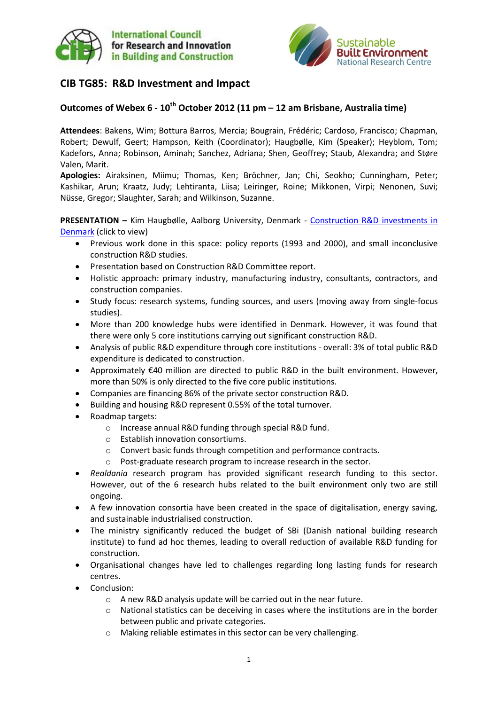



# **CIB TG85: R&D Investment and Impact**

# **Outcomes of Webex 6 - 10th October 2012 (11 pm – 12 am Brisbane, Australia time)**

**Attendees**: Bakens, Wim; Bottura Barros, Mercia; Bougrain, Frédéric; Cardoso, Francisco; Chapman, Robert; Dewulf, Geert; Hampson, Keith (Coordinator); Haugbølle, Kim (Speaker); Heyblom, Tom; Kadefors, Anna; Robinson, Aminah; Sanchez, Adriana; Shen, Geoffrey; Staub, Alexandra; and Støre Valen, Marit.

**Apologies:** Airaksinen, Miimu; Thomas, Ken; Bröchner, Jan; Chi, Seokho; Cunningham, Peter; Kashikar, Arun; Kraatz, Judy; Lehtiranta, Liisa; Leiringer, Roine; Mikkonen, Virpi; Nenonen, Suvi; Nüsse, Gregor; Slaughter, Sarah; and Wilkinson, Suzanne.

**PRESENTATION –** Kim Haugbølle, Aalborg University, Denmark - [Construction R&D investments in](http://www.sbenrc.com.au/images/stories/Construction_RD_investments_in_Denmark.pdf)  [Denmark](http://www.sbenrc.com.au/images/stories/Construction_RD_investments_in_Denmark.pdf) (click to view)

- Previous work done in this space: policy reports (1993 and 2000), and small inconclusive construction R&D studies.
- **•** Presentation based on Construction R&D Committee report.
- Holistic approach: primary industry, manufacturing industry, consultants, contractors, and construction companies.
- Study focus: research systems, funding sources, and users (moving away from single-focus studies).
- More than 200 knowledge hubs were identified in Denmark. However, it was found that there were only 5 core institutions carrying out significant construction R&D.
- Analysis of public R&D expenditure through core institutions overall: 3% of total public R&D expenditure is dedicated to construction.
- Approximately €40 million are directed to public R&D in the built environment. However, more than 50% is only directed to the five core public institutions.
- Companies are financing 86% of the private sector construction R&D.
- Building and housing R&D represent 0.55% of the total turnover.
- Roadmap targets:
	- o Increase annual R&D funding through special R&D fund.
	- o Establish innovation consortiums.
	- o Convert basic funds through competition and performance contracts.
	- o Post-graduate research program to increase research in the sector.
- *Realdania* research program has provided significant research funding to this sector. However, out of the 6 research hubs related to the built environment only two are still ongoing.
- A few innovation consortia have been created in the space of digitalisation, energy saving, and sustainable industrialised construction.
- The ministry significantly reduced the budget of SBi (Danish national building research institute) to fund ad hoc themes, leading to overall reduction of available R&D funding for construction.
- Organisational changes have led to challenges regarding long lasting funds for research centres.
- Conclusion:
	- o A new R&D analysis update will be carried out in the near future.
	- National statistics can be deceiving in cases where the institutions are in the border between public and private categories.
	- o Making reliable estimates in this sector can be very challenging.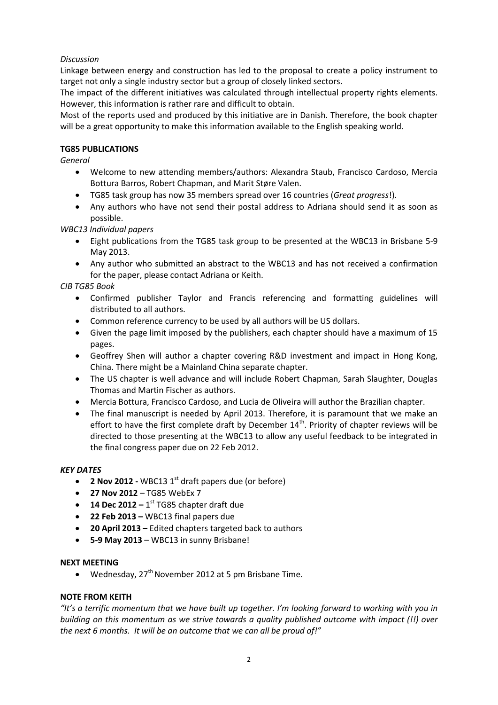## *Discussion*

Linkage between energy and construction has led to the proposal to create a policy instrument to target not only a single industry sector but a group of closely linked sectors.

The impact of the different initiatives was calculated through intellectual property rights elements. However, this information is rather rare and difficult to obtain.

Most of the reports used and produced by this initiative are in Danish. Therefore, the book chapter will be a great opportunity to make this information available to the English speaking world.

### **TG85 PUBLICATIONS**

*General*

- Welcome to new attending members/authors: Alexandra Staub, Francisco Cardoso, Mercia Bottura Barros, Robert Chapman, and Marit Støre Valen.
- TG85 task group has now 35 members spread over 16 countries (*Great progress*!).
- Any authors who have not send their postal address to Adriana should send it as soon as possible.

## *WBC13 Individual papers*

- Eight publications from the TG85 task group to be presented at the WBC13 in Brisbane 5-9 May 2013.
- Any author who submitted an abstract to the WBC13 and has not received a confirmation for the paper, please contact Adriana or Keith.

*CIB TG85 Book*

- Confirmed publisher Taylor and Francis referencing and formatting guidelines will distributed to all authors.
- Common reference currency to be used by all authors will be US dollars.
- Given the page limit imposed by the publishers, each chapter should have a maximum of 15 pages.
- Geoffrey Shen will author a chapter covering R&D investment and impact in Hong Kong, China. There might be a Mainland China separate chapter.
- The US chapter is well advance and will include Robert Chapman, Sarah Slaughter, Douglas Thomas and Martin Fischer as authors.
- Mercia Bottura, Francisco Cardoso, and Lucia de Oliveira will author the Brazilian chapter.
- The final manuscript is needed by April 2013. Therefore, it is paramount that we make an effort to have the first complete draft by December 14<sup>th</sup>. Priority of chapter reviews will be directed to those presenting at the WBC13 to allow any useful feedback to be integrated in the final congress paper due on 22 Feb 2012.

#### *KEY DATES*

- **2 Nov 2012** WBC13 1<sup>st</sup> draft papers due (or before)
- **27 Nov 2012** TG85 WebEx 7
- **14 Dec 2012** 1<sup>st</sup> TG85 chapter draft due
- **22 Feb 2013 –** WBC13 final papers due
- **20 April 2013 –** Edited chapters targeted back to authors
- **5-9 May 2013** WBC13 in sunny Brisbane!

#### **NEXT MEETING**

• Wednesday,  $27<sup>th</sup>$  November 2012 at 5 pm Brisbane Time.

## **NOTE FROM KEITH**

*"It's a terrific momentum that we have built up together. I'm looking forward to working with you in building on this momentum as we strive towards a quality published outcome with impact (!!) over the next 6 months. It will be an outcome that we can all be proud of!"*